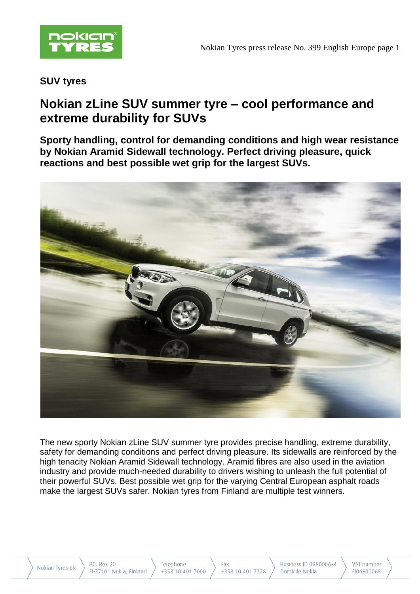

# **SUV tyres**

# **Nokian zLine SUV summer tyre – cool performance and extreme durability for SUVs**

**Sporty handling, control for demanding conditions and high wear resistance by Nokian Aramid Sidewall technology. Perfect driving pleasure, quick reactions and best possible wet grip for the largest SUVs.**



The new sporty Nokian zLine SUV summer tyre provides precise handling, extreme durability, safety for demanding conditions and perfect driving pleasure. Its sidewalls are reinforced by the high tenacity Nokian Aramid Sidewall technology. Aramid fibres are also used in the aviation industry and provide much-needed durability to drivers wishing to unleash the full potential of their powerful SUVs. Best possible wet grip for the varying Central European asphalt roads make the largest SUVs safer. Nokian tyres from Finland are multiple test winners.

P.O. Box 20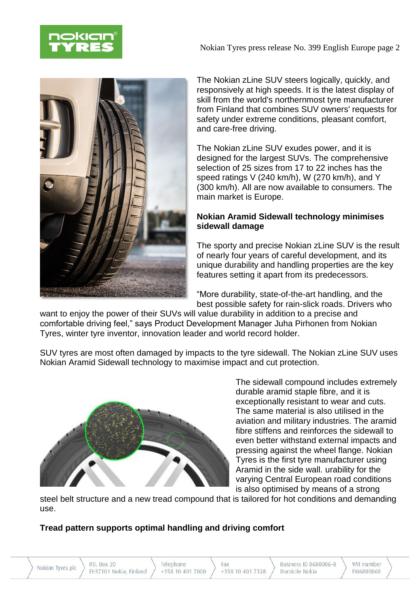

Nokian Tyres press release No. 399 English Europe page 2



The Nokian zLine SUV steers logically, quickly, and responsively at high speeds. It is the latest display of skill from the world's northernmost tyre manufacturer from Finland that combines SUV owners' requests for safety under extreme conditions, pleasant comfort, and care-free driving.

The Nokian zLine SUV exudes power, and it is designed for the largest SUVs. The comprehensive selection of 25 sizes from 17 to 22 inches has the speed ratings V (240 km/h), W (270 km/h), and Y (300 km/h). All are now available to consumers. The main market is Europe.

# **Nokian Aramid Sidewall technology minimises sidewall damage**

The sporty and precise Nokian zLine SUV is the result of nearly four years of careful development, and its unique durability and handling properties are the key features setting it apart from its predecessors.

"More durability, state-of-the-art handling, and the best possible safety for rain-slick roads. Drivers who

want to enjoy the power of their SUVs will value durability in addition to a precise and comfortable driving feel," says Product Development Manager Juha Pirhonen from Nokian Tyres, winter tyre inventor, innovation leader and world record holder.

SUV tyres are most often damaged by impacts to the tyre sidewall. The Nokian zLine SUV uses Nokian Aramid Sidewall technology to maximise impact and cut protection.



The sidewall compound includes extremely durable aramid staple fibre, and it is exceptionally resistant to wear and cuts. The same material is also utilised in the aviation and military industries. The aramid fibre stiffens and reinforces the sidewall to even better withstand external impacts and pressing against the wheel flange. Nokian Tyres is the first tyre manufacturer using Aramid in the side wall. urability for the varying Central European road conditions is also optimised by means of a strong

steel belt structure and a new tread compound that is tailored for hot conditions and demanding use.

# **Tread pattern supports optimal handling and driving comfort**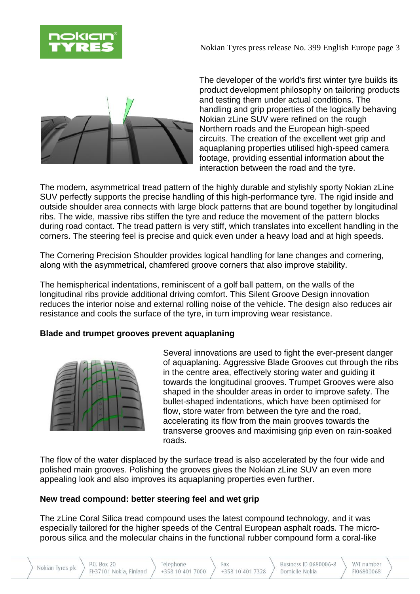

Nokian Tyres press release No. 399 English Europe page 3



The developer of the world's first winter tyre builds its product development philosophy on tailoring products and testing them under actual conditions. The handling and grip properties of the logically behaving Nokian zLine SUV were refined on the rough Northern roads and the European high-speed circuits. The creation of the excellent wet grip and aquaplaning properties utilised high-speed camera footage, providing essential information about the interaction between the road and the tyre.

The modern, asymmetrical tread pattern of the highly durable and stylishly sporty Nokian zLine SUV perfectly supports the precise handling of this high-performance tyre. The rigid inside and outside shoulder area connects with large block patterns that are bound together by longitudinal ribs. The wide, massive ribs stiffen the tyre and reduce the movement of the pattern blocks during road contact. The tread pattern is very stiff, which translates into excellent handling in the corners. The steering feel is precise and quick even under a heavy load and at high speeds.

The Cornering Precision Shoulder provides logical handling for lane changes and cornering, along with the asymmetrical, chamfered groove corners that also improve stability.

The hemispherical indentations, reminiscent of a golf ball pattern, on the walls of the longitudinal ribs provide additional driving comfort. This Silent Groove Design innovation reduces the interior noise and external rolling noise of the vehicle. The design also reduces air resistance and cools the surface of the tyre, in turn improving wear resistance.

### **Blade and trumpet grooves prevent aquaplaning**



Several innovations are used to fight the ever-present danger of aquaplaning. Aggressive Blade Grooves cut through the ribs in the centre area, effectively storing water and guiding it towards the longitudinal grooves. Trumpet Grooves were also shaped in the shoulder areas in order to improve safety. The bullet-shaped indentations, which have been optimised for flow, store water from between the tyre and the road, accelerating its flow from the main grooves towards the transverse grooves and maximising grip even on rain-soaked roads.

The flow of the water displaced by the surface tread is also accelerated by the four wide and polished main grooves. Polishing the grooves gives the Nokian zLine SUV an even more appealing look and also improves its aquaplaning properties even further.

### **New tread compound: better steering feel and wet grip**

The zLine Coral Silica tread compound uses the latest compound technology, and it was especially tailored for the higher speeds of the Central European asphalt roads. The microporous silica and the molecular chains in the functional rubber compound form a coral-like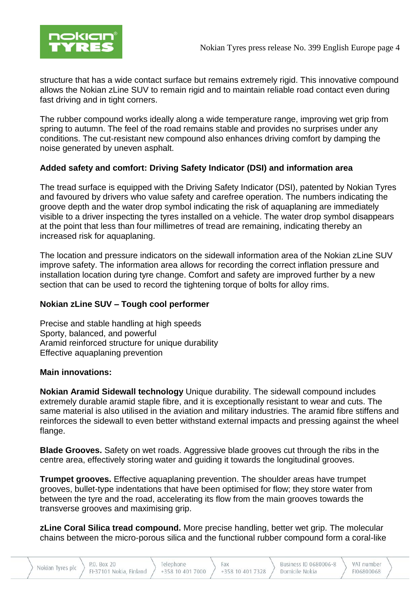

structure that has a wide contact surface but remains extremely rigid. This innovative compound allows the Nokian zLine SUV to remain rigid and to maintain reliable road contact even during fast driving and in tight corners.

The rubber compound works ideally along a wide temperature range, improving wet grip from spring to autumn. The feel of the road remains stable and provides no surprises under any conditions. The cut-resistant new compound also enhances driving comfort by damping the noise generated by uneven asphalt.

# **Added safety and comfort: Driving Safety Indicator (DSI) and information area**

The tread surface is equipped with the Driving Safety Indicator (DSI), patented by Nokian Tyres and favoured by drivers who value safety and carefree operation. The numbers indicating the groove depth and the water drop symbol indicating the risk of aquaplaning are immediately visible to a driver inspecting the tyres installed on a vehicle. The water drop symbol disappears at the point that less than four millimetres of tread are remaining, indicating thereby an increased risk for aquaplaning.

The location and pressure indicators on the sidewall information area of the Nokian zLine SUV improve safety. The information area allows for recording the correct inflation pressure and installation location during tyre change. Comfort and safety are improved further by a new section that can be used to record the tightening torque of bolts for alloy rims.

### **Nokian zLine SUV – Tough cool performer**

Precise and stable handling at high speeds Sporty, balanced, and powerful Aramid reinforced structure for unique durability Effective aquaplaning prevention

### **Main innovations:**

**Nokian Aramid Sidewall technology** Unique durability. The sidewall compound includes extremely durable aramid staple fibre, and it is exceptionally resistant to wear and cuts. The same material is also utilised in the aviation and military industries. The aramid fibre stiffens and reinforces the sidewall to even better withstand external impacts and pressing against the wheel flange.

**Blade Grooves.** Safety on wet roads. Aggressive blade grooves cut through the ribs in the centre area, effectively storing water and guiding it towards the longitudinal grooves.

**Trumpet grooves.** Effective aquaplaning prevention. The shoulder areas have trumpet grooves, bullet-type indentations that have been optimised for flow; they store water from between the tyre and the road, accelerating its flow from the main grooves towards the transverse grooves and maximising grip.

**zLine Coral Silica tread compound.** More precise handling, better wet grip. The molecular chains between the micro-porous silica and the functional rubber compound form a coral-like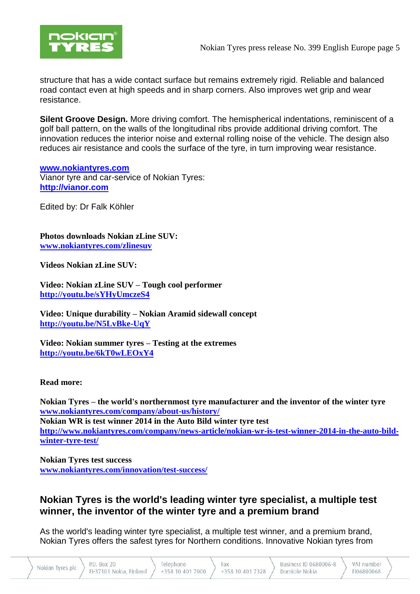

structure that has a wide contact surface but remains extremely rigid. Reliable and balanced road contact even at high speeds and in sharp corners. Also improves wet grip and wear resistance.

**Silent Groove Design.** More driving comfort. The hemispherical indentations, reminiscent of a golf ball pattern, on the walls of the longitudinal ribs provide additional driving comfort. The innovation reduces the interior noise and external rolling noise of the vehicle. The design also reduces air resistance and cools the surface of the tyre, in turn improving wear resistance.

#### **[www.nokiantyres.com](http://www.nokiantyres.com/)**

Vianor tyre and car-service of Nokian Tyres: **[http://vianor.com](http://vianor.com/)**

Edited by: Dr Falk Köhler

**Photos downloads Nokian zLine SUV: [www.nokiantyres.com/zlinesuv](http://www.nokiantyres.com/zlinesuv)**

**Videos Nokian zLine SUV:**

**Video: Nokian zLine SUV – Tough cool performer <http://youtu.be/sYHyUmczeS4>**

**Video: Unique durability – Nokian Aramid sidewall concept <http://youtu.be/N5LvBke-UqY>**

**Video: Nokian summer tyres – Testing at the extremes <http://youtu.be/6kT0wLEOxY4>**

#### **Read more:**

**Nokian Tyres – the world's northernmost tyre manufacturer and the inventor of the winter tyre [www.nokiantyres.com/company/about-us/history/](http://www.nokiantyres.com/company/about-us/history/) Nokian WR is test winner 2014 in the Auto Bild winter tyre test [http://www.nokiantyres.com/company/news-article/nokian-wr-is-test-winner-2014-in-the-auto-bild](http://www.nokiantyres.com/company/news-article/nokian-wr-is-test-winner-2014-in-the-auto-bild-winter-tyre-test/)[winter-tyre-test/](http://www.nokiantyres.com/company/news-article/nokian-wr-is-test-winner-2014-in-the-auto-bild-winter-tyre-test/)**

**Nokian Tyres test success [www.nokiantyres.com/innovation/test-success/](http://www.nokiantyres.com/innovation/test-success/)**

# **Nokian Tyres is the world's leading winter tyre specialist, a multiple test winner, the inventor of the winter tyre and a premium brand**

As the world's leading winter tyre specialist, a multiple test winner, and a premium brand, Nokian Tyres offers the safest tyres for Northern conditions. Innovative Nokian tyres from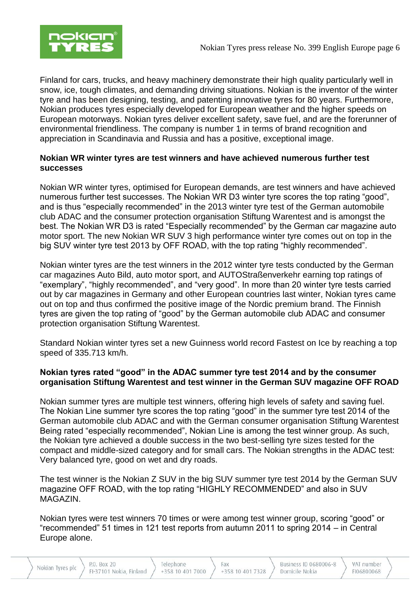

Finland for cars, trucks, and heavy machinery demonstrate their high quality particularly well in snow, ice, tough climates, and demanding driving situations. Nokian is the inventor of the winter tyre and has been designing, testing, and patenting innovative tyres for 80 years. Furthermore, Nokian produces tyres especially developed for European weather and the higher speeds on European motorways. Nokian tyres deliver excellent safety, save fuel, and are the forerunner of environmental friendliness. The company is number 1 in terms of brand recognition and appreciation in Scandinavia and Russia and has a positive, exceptional image.

# **Nokian WR winter tyres are test winners and have achieved numerous further test successes**

Nokian WR winter tyres, optimised for European demands, are test winners and have achieved numerous further test successes. The Nokian WR D3 winter tyre scores the top rating "good", and is thus "especially recommended" in the 2013 winter tyre test of the German automobile club ADAC and the consumer protection organisation Stiftung Warentest and is amongst the best. The Nokian WR D3 is rated "Especially recommended" by the German car magazine auto motor sport. The new Nokian WR SUV 3 high performance winter tyre comes out on top in the big SUV winter tyre test 2013 by OFF ROAD, with the top rating "highly recommended".

Nokian winter tyres are the test winners in the 2012 winter tyre tests conducted by the German car magazines Auto Bild, auto motor sport, and AUTOStraßenverkehr earning top ratings of "exemplary", "highly recommended", and "very good". In more than 20 winter tyre tests carried out by car magazines in Germany and other European countries last winter, Nokian tyres came out on top and thus confirmed the positive image of the Nordic premium brand. The Finnish tyres are given the top rating of "good" by the German automobile club ADAC and consumer protection organisation Stiftung Warentest.

Standard Nokian winter tyres set a new Guinness world record Fastest on Ice by reaching a top speed of 335.713 km/h.

# **Nokian tyres rated "good" in the ADAC summer tyre test 2014 and by the consumer organisation Stiftung Warentest and test winner in the German SUV magazine OFF ROAD**

Nokian summer tyres are multiple test winners, offering high levels of safety and saving fuel. The Nokian Line summer tyre scores the top rating "good" in the summer tyre test 2014 of the German automobile club ADAC and with the German consumer organisation Stiftung Warentest Being rated "especially recommended", Nokian Line is among the test winner group. As such, the Nokian tyre achieved a double success in the two best-selling tyre sizes tested for the compact and middle-sized category and for small cars. The Nokian strengths in the ADAC test: Very balanced tyre, good on wet and dry roads.

The test winner is the Nokian Z SUV in the big SUV summer tyre test 2014 by the German SUV magazine OFF ROAD, with the top rating "HIGHLY RECOMMENDED" and also in SUV MAGAZIN.

Nokian tyres were test winners 70 times or were among test winner group, scoring "good" or "recommended" 51 times in 121 test reports from autumn 2011 to spring 2014 – in Central Europe alone.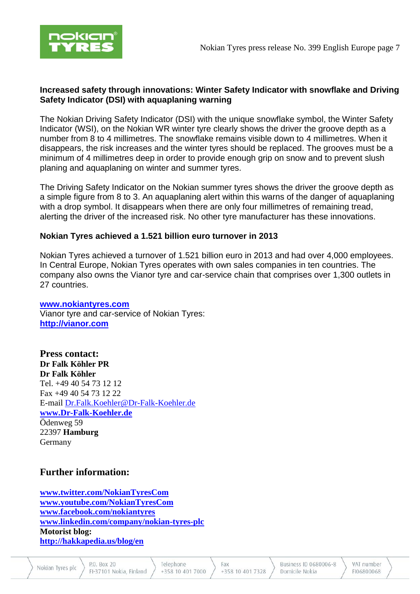

### **Increased safety through innovations: Winter Safety Indicator with snowflake and Driving Safety Indicator (DSI) with aquaplaning warning**

The Nokian Driving Safety Indicator (DSI) with the unique snowflake symbol, the Winter Safety Indicator (WSI), on the Nokian WR winter tyre clearly shows the driver the groove depth as a number from 8 to 4 millimetres. The snowflake remains visible down to 4 millimetres. When it disappears, the risk increases and the winter tyres should be replaced. The grooves must be a minimum of 4 millimetres deep in order to provide enough grip on snow and to prevent slush planing and aquaplaning on winter and summer tyres.

The Driving Safety Indicator on the Nokian summer tyres shows the driver the groove depth as a simple figure from 8 to 3. An aquaplaning alert within this warns of the danger of aquaplaning with a drop symbol. It disappears when there are only four millimetres of remaining tread, alerting the driver of the increased risk. No other tyre manufacturer has these innovations.

# **Nokian Tyres achieved a 1.521 billion euro turnover in 2013**

Nokian Tyres achieved a turnover of 1.521 billion euro in 2013 and had over 4,000 employees. In Central Europe, Nokian Tyres operates with own sales companies in ten countries. The company also owns the Vianor tyre and car-service chain that comprises over 1,300 outlets in 27 countries.

### **[www.nokiantyres.com](http://www.nokiantyres.com/)**

Vianor tyre and car-service of Nokian Tyres: **[http://vianor.com](http://vianor.com/)**

**Press contact: Dr Falk Köhler PR Dr Falk Köhler** Tel. +49 40 54 73 12 12 Fax +49 40 54 73 12 22 E-mail [Dr.Falk.Koehler@Dr-Falk-Koehler.de](mailto:Dr.Falk.Koehler@Dr-Falk-Koehler.de) **[www.Dr-Falk-Koehler.de](http://www.dr-falk-koehler.de/)** Ödenweg 59 22397 **Hamburg** Germany

# **Further information:**

**[www.twitter.com/NokianTyresCom](http://www.twitter.com/NokianTyresCom) [www.youtube.com/NokianTyresCom](http://www.youtube.com/NokianTyresCom) [www.facebook.com/nokiantyres](https://www.facebook.com/nokiantyres) [www.linkedin.com/company/nokian-tyres-plc](http://www.linkedin.com/company/nokian-tyres-plc) Motorist blog: <http://hakkapedia.us/blog/en>**